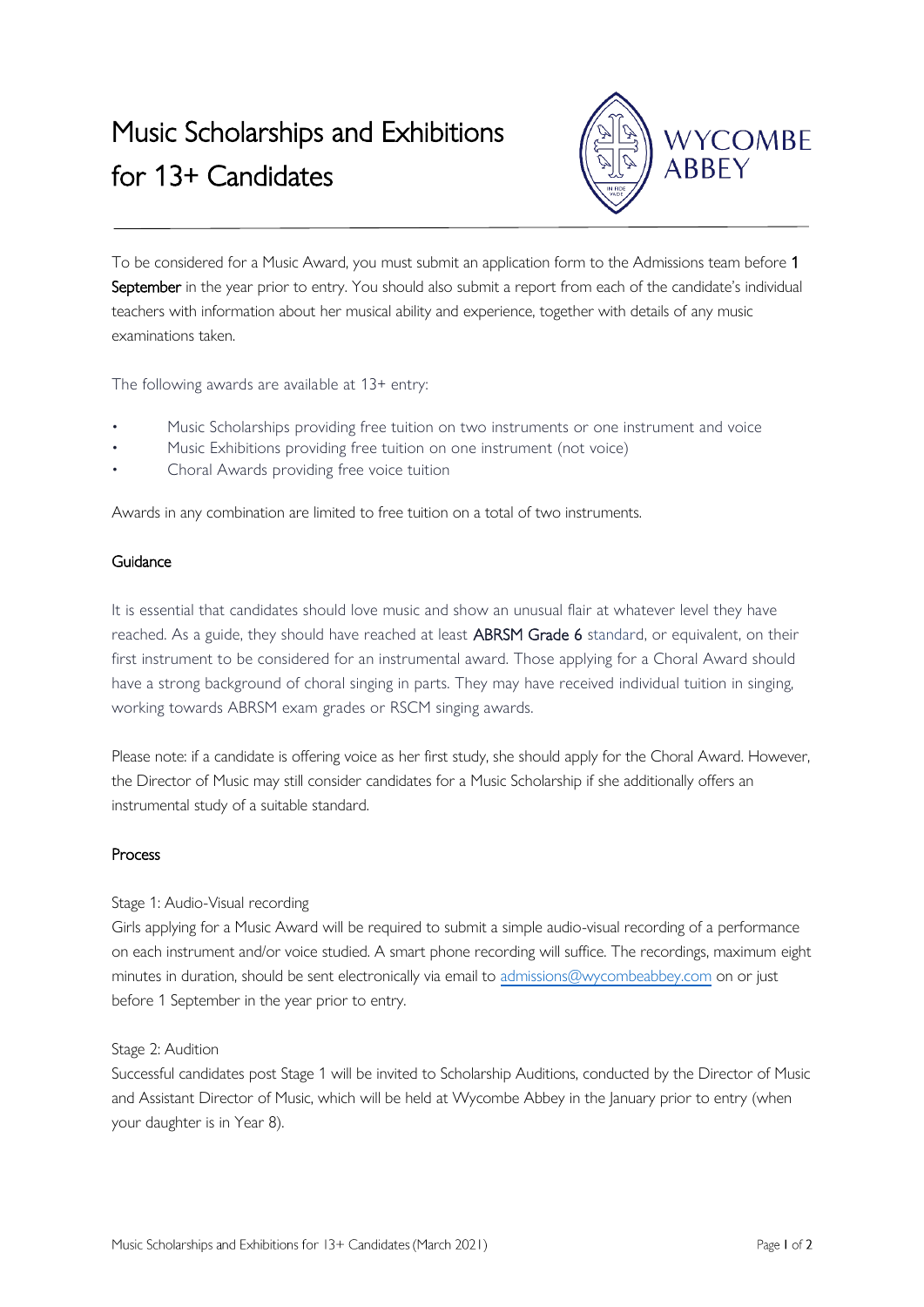# Music Scholarships and Exhibitions for 13+ Candidates



To be considered for a Music Award, you must submit an application form to the Admissions team before 1 September in the year prior to entry. You should also submit a report from each of the candidate's individual teachers with information about her musical ability and experience, together with details of any music examinations taken.

The following awards are available at 13+ entry:

- Music Scholarships providing free tuition on two instruments or one instrument and voice
- Music Exhibitions providing free tuition on one instrument (not voice)
- Choral Awards providing free voice tuition

Awards in any combination are limited to free tuition on a total of two instruments.

# Guidance

It is essential that candidates should love music and show an unusual flair at whatever level they have reached. As a guide, they should have reached at least **ABRSM Grade 6** standard, or equivalent, on their first instrument to be considered for an instrumental award. Those applying for a Choral Award should have a strong background of choral singing in parts. They may have received individual tuition in singing, working towards ABRSM exam grades or RSCM singing awards.

Please note: if a candidate is offering voice as her first study, she should apply for the Choral Award. However, the Director of Music may still consider candidates for a Music Scholarship if she additionally offers an instrumental study of a suitable standard.

### Process

### Stage 1: Audio-Visual recording

Girls applying for a Music Award will be required to submit a simple audio-visual recording of a performance on each instrument and/or voice studied. A smart phone recording will suffice. The recordings, maximum eight minutes in duration, should be sent electronically via email to [admissions@wycombeabbey.com](mailto:admissions@wycombeabbey.com) on or just before 1 September in the year prior to entry.

### Stage 2: Audition

Successful candidates post Stage 1 will be invited to Scholarship Auditions, conducted by the Director of Music and Assistant Director of Music, which will be held at Wycombe Abbey in the January prior to entry (when your daughter is in Year 8).